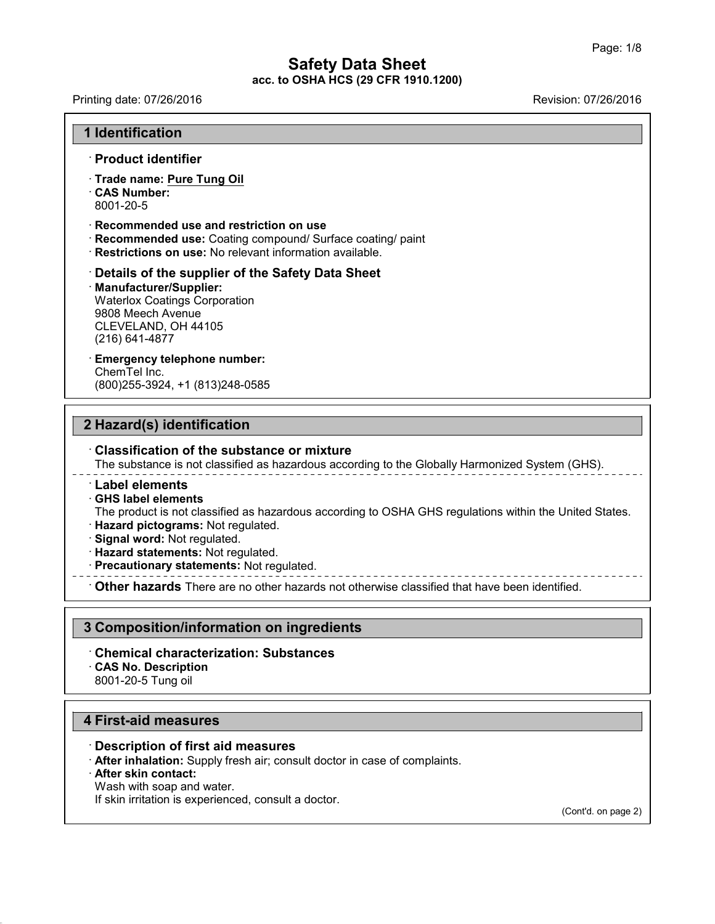Printing date: 07/26/2016 Revision: 07/26/2016

#### **1 Identification**

#### · **Product identifier**

· **Trade name: Pure Tung Oil** · **CAS Number:** 8001-20-5

#### · **Recommended use and restriction on use**

- · **Recommended use:** Coating compound/ Surface coating/ paint
- · **Restrictions on use:** No relevant information available.

#### · **Details of the supplier of the Safety Data Sheet** · **Manufacturer/Supplier:** Waterlox Coatings Corporation 9808 Meech Avenue CLEVELAND, OH 44105 (216) 641-4877

## · **Emergency telephone number:**

ChemTel Inc. (800)255-3924, +1 (813)248-0585

## **2 Hazard(s) identification**

#### · **Classification of the substance or mixture**

The substance is not classified as hazardous according to the Globally Harmonized System (GHS).

#### · **Label elements**

· **GHS label elements**

The product is not classified as hazardous according to OSHA GHS regulations within the United States.

- · **Hazard pictograms:** Not regulated.
- · **Signal word:** Not regulated.
- · **Hazard statements:** Not regulated.
- · **Precautionary statements:** Not regulated.

· **Other hazards** There are no other hazards nototherwise classified that have been identified.

## **3 Composition/information on ingredients**

- · **Chemical characterization: Substances**
- · **CAS No. Description**

8001-20-5 Tung oil

## **4 First-aid measures**

#### · **Description of first aid measures**

· **After inhalation:** Supply fresh air; consult doctor in case of complaints.

## · **After skin contact:**

43.0

Wash with soap and water.

If skin irritation is experienced, consult a doctor.

(Cont'd. on page 2)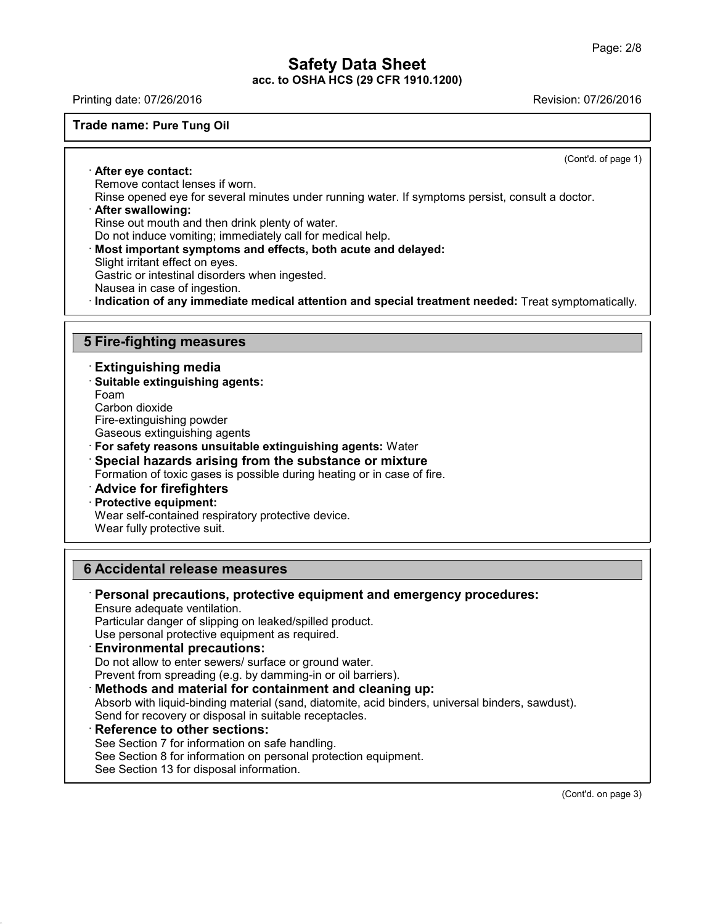Printing date: 07/26/2016 Revision: 07/26/2016

#### **Trade name: Pure Tung Oil**

(Cont'd. of page 1)

· **After eye contact:** Remove contact lenses if worn.

Rinse opened eye for several minutes under running water. If symptoms persist, consult a doctor.

# · **After swallowing:**

Rinse out mouth and then drink plenty of water.

Do not induce vomiting; immediately call for medical help.

- · **Most important symptoms and effects, both acute and delayed:**
- Slight irritant effect on eyes.

Gastric or intestinal disorders when ingested.

Nausea in case of ingestion.

· **Indication of any immediate medical attention and special treatment needed:** Treat symptomatically.

## **5 Fire-fighting measures**

· **Extinguishing media**

· **Suitable extinguishing agents:**

Foam

43.0

Carbon dioxide

Fire-extinguishing powder

Gaseous extinguishing agents

- · **For safety reasons unsuitable extinguishing agents:** Water
- · **Special hazards arising from the substance or mixture**
- Formation of toxic gases is possible during heating or in case of fire.

· **Advice for firefighters**

#### · **Protective equipment:**

Wear self-contained respiratory protective device.

Wear fully protective suit.

## **6 Accidental release measures**

· **Personal precautions, protective equipment and emergency procedures:** Ensure adequate ventilation. Particular danger of slipping on leaked/spilled product. Use personal protective equipment as required. · **Environmental precautions:** Do not allow to enter sewers/ surface or ground water. Prevent from spreading (e.g. by damming-in or oil barriers). · **Methods and material for containment and cleaning up:** Absorb with liquid-binding material (sand, diatomite, acid binders, universal binders, sawdust). Send for recovery or disposal in suitable receptacles. · **Reference to other sections:** See Section 7 for information on safe handling. See Section 8 for information on personal protection equipment.

See Section 13 for disposal information.

(Cont'd. on page 3)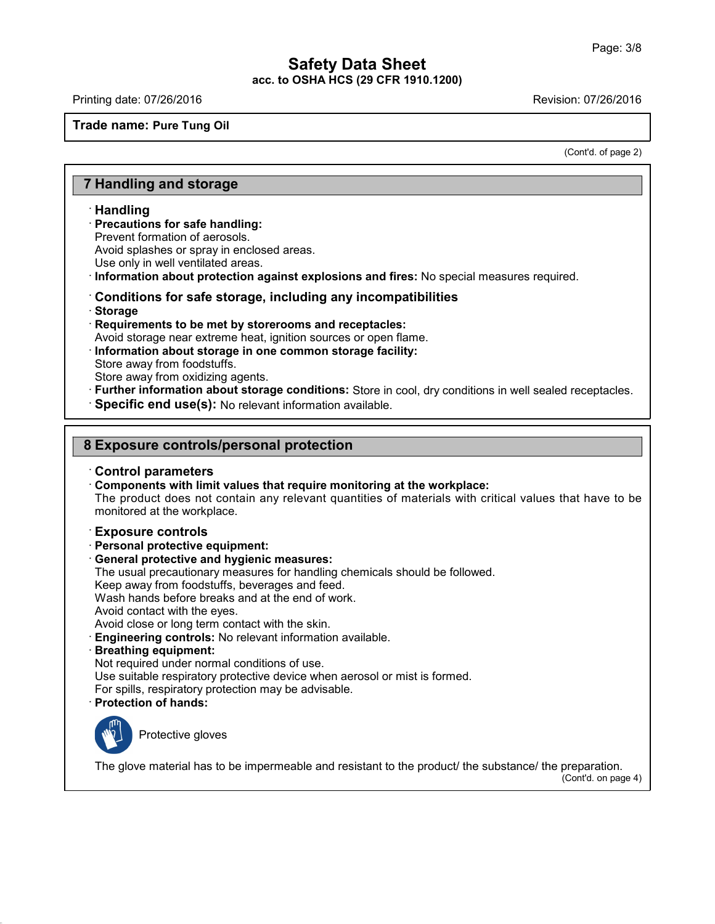Printing date: 07/26/2016 Revision: 07/26/2016

**Trade name: Pure Tung Oil**

(Cont'd. of page 2)

# **7 Handling and storage**

#### · **Handling**

· **Precautions for safe handling:**

Prevent formation of aerosols.

Avoid splashes or spray in enclosed areas.

Use only in well ventilated areas.

· **Information about protection against explosions and fires:** No special measures required.

#### · **Conditions for safe storage, including any incompatibilities**

- · **Storage**
- · **Requirements to be met by storerooms and receptacles:**

Avoid storage near extreme heat, ignition sources or open flame.

· **Information about storage in one common storage facility:** Store away from foodstuffs.

Store away from oxidizing agents.

· **Further information about storage conditions:** Store in cool, dry conditions in well sealed receptacles.

· **Specific end use(s):** No relevant information available.

## **8 Exposure controls/personal protection**

#### · **Control parameters**

· **Components with limit values that require monitoring at the workplace:**

The product does not contain any relevant quantities of materials with critical values that have to be monitored at the workplace.

#### · **Exposure controls**

- · **Personal protective equipment:**
- · **General protective and hygienic measures:**
- The usual precautionary measures for handling chemicals should be followed.

Keep away from foodstuffs, beverages and feed.

Wash hands before breaks and at the end of work.

Avoid contact with the eyes.

Avoid close or long term contact with the skin.

- · **Engineering controls:** No relevant information available.
- · **Breathing equipment:**

Not required under normal conditions of use.

Use suitable respiratory protective device when aerosol or mist is formed.

For spills, respiratory protection may be advisable.

· **Protection of hands:**



43.0

Protective gloves

The glove material has to be impermeable and resistant to the product/ the substance/ the preparation.

(Cont'd. on page 4)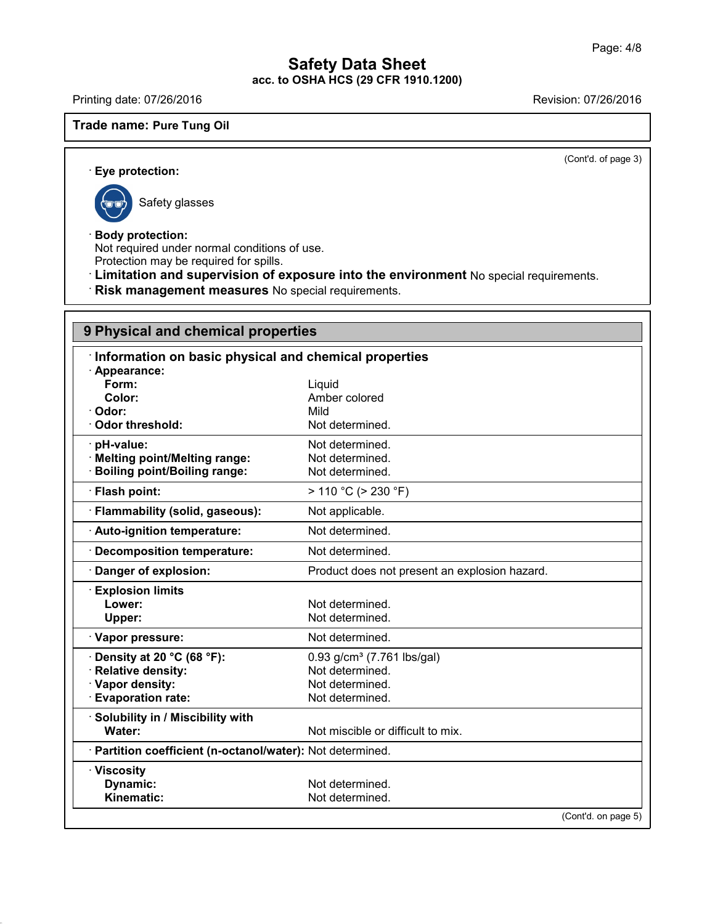Printing date: 07/26/2016 **Revision: 07/26/2016** 

## **Trade name: Pure Tung Oil**

(Cont'd. of page 3)

· **Eye protection:**

Safety glasses

43.0

· **Body protection:**

Not required under normal conditions of use. Protection may be required for spills.

· **Limitation and supervision of exposure into the environment** No special requirements.

· **Risk management measures** No special requirements.

# **9 Physical and chemical properties**

| Information on basic physical and chemical properties    |                                               |  |
|----------------------------------------------------------|-----------------------------------------------|--|
| Appearance:                                              |                                               |  |
| Form:                                                    | Liquid                                        |  |
| Color:                                                   | Amber colored                                 |  |
| Odor:                                                    | Mild                                          |  |
| <b>Odor threshold:</b>                                   | Not determined.                               |  |
| · pH-value:                                              | Not determined.                               |  |
| <b>Melting point/Melting range:</b>                      | Not determined.                               |  |
| <b>Boiling point/Boiling range:</b>                      | Not determined.                               |  |
| Flash point:                                             | $> 110 °C$ ( $> 230 °F$ )                     |  |
| Flammability (solid, gaseous):                           | Not applicable.                               |  |
| · Auto-ignition temperature:                             | Not determined.                               |  |
| <b>Decomposition temperature:</b>                        | Not determined.                               |  |
| Danger of explosion:                                     | Product does not present an explosion hazard. |  |
| <b>Explosion limits</b>                                  |                                               |  |
| Lower:                                                   | Not determined.                               |  |
| Upper:                                                   | Not determined.                               |  |
| · Vapor pressure:                                        | Not determined.                               |  |
| Density at 20 °C (68 °F):                                | 0.93 g/cm <sup>3</sup> (7.761 lbs/gal)        |  |
| <b>Relative density:</b>                                 | Not determined.                               |  |
| · Vapor density:                                         | Not determined.                               |  |
| <b>Evaporation rate:</b>                                 | Not determined.                               |  |
| · Solubility in / Miscibility with                       |                                               |  |
| Water:                                                   | Not miscible or difficult to mix.             |  |
| Partition coefficient (n-octanol/water): Not determined. |                                               |  |
| · Viscosity                                              |                                               |  |
| Dynamic:                                                 | Not determined.                               |  |
| Kinematic:                                               | Not determined.                               |  |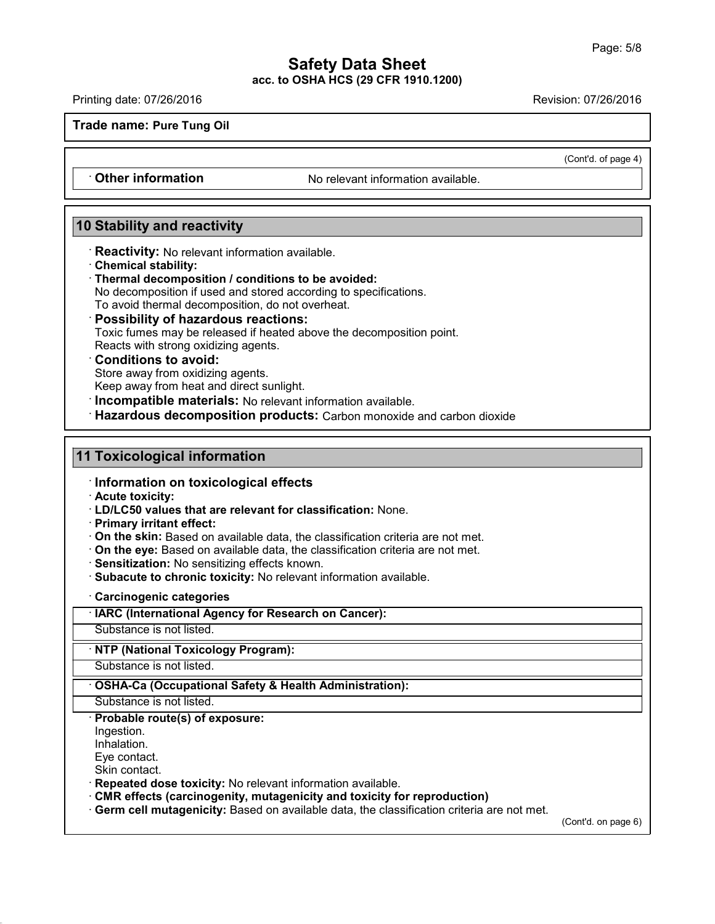Printing date: 07/26/2016 Revision: 07/26/2016

**Trade name: Pure Tung Oil**

(Cont'd. of page 4)

**Cther information** No relevant information available.

## **10 Stability and reactivity**

· **Reactivity:** No relevant information available.

- · **Chemical stability:**
- · **Thermal decomposition / conditions to be avoided:**

No decomposition if used and stored according to specifications.

To avoid thermal decomposition, do not overheat.

#### · **Possibility of hazardous reactions:**

Toxic fumes may be released if heated above the decomposition point.

Reacts with strong oxidizing agents.

## · **Conditions to avoid:**

Store away from oxidizing agents.

Keep away from heat and direct sunlight.

· **Incompatible materials:** No relevant information available.

· **Hazardous decomposition products:** Carbon monoxide and carbon dioxide

## **11 Toxicological information**

· **Information on toxicological effects**

· **Acute toxicity:**

· **LD/LC50 values that are relevant for classification:** None.

· **Primary irritant effect:**

- · **On the skin:** Based on available data, the classification criteria are not met.
- · **On the eye:** Based on available data, the classification criteria are not met.
- · **Sensitization:** No sensitizing effects known.
- · **Subacute to chronic toxicity:** No relevant information available.

· **Carcinogenic categories**

· **IARC (International Agency for Research on Cancer):**

Substance is not listed.

· **NTP (National Toxicology Program):**

Substance is not listed.

· **OSHA-Ca (Occupational Safety & Health Administration):**

Substance is not listed.

· **Probable route(s) of exposure:**

Ingestion.

Inhalation.

43.0

Eye contact.

Skin contact.

· **Repeated dose toxicity:** No relevant information available.

- · **CMR effects (carcinogenity, mutagenicity and toxicity for reproduction)**
- · **Germ cell mutagenicity:** Based on available data, the classification criteria are not met.

(Cont'd. on page 6)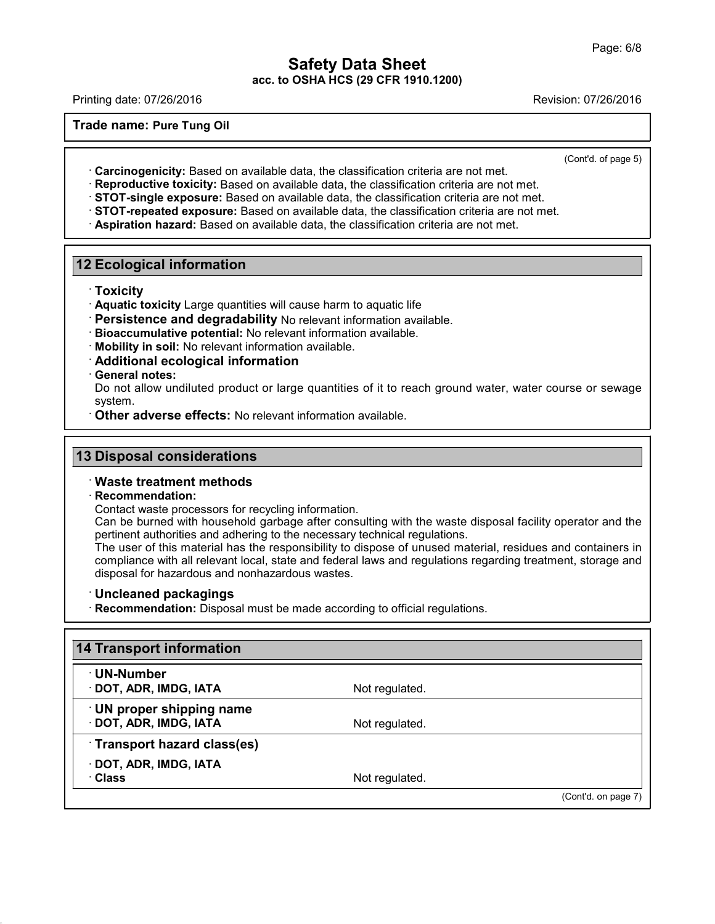Printing date: 07/26/2016 Revision: 07/26/2016

**Trade name: Pure Tung Oil**

(Cont'd. of page 5)

· **Carcinogenicity:** Based on available data, the classification criteria are not met.

· **Reproductive toxicity:** Based on available data, the classification criteria are not met.

· **STOT-single exposure:** Based on available data, the classification criteria are not met.

· **STOT-repeated exposure:** Based on available data, the classification criteria are not met.

· **Aspiration hazard:** Based on available data, the classification criteria are not met.

## **12 Ecological information**

· **Toxicity**

- · **Aquatic toxicity** Large quantities will cause harm to aquatic life
- · **Persistence and degradability** No relevant information available.
- · **Bioaccumulative potential:** No relevant information available.
- · **Mobility in soil:** No relevant information available.

· **Additional ecological information**

· **General notes:**

Do not allow undiluted product or large quantities of it to reach ground water, water course or sewage system.

· **Other adverse effects:** No relevant information available.

## **13 Disposal considerations**

#### · **Waste treatment methods**

#### · **Recommendation:**

Contact waste processors for recycling information.

Can be burned with household garbage after consulting with the waste disposal facility operator and the pertinent authorities and adhering to the necessary technical regulations.

The user of this material has the responsibility to dispose of unused material, residues and containers in compliance with all relevant local, state and federal laws and regulations regarding treatment, storage and disposal for hazardous and nonhazardous wastes.

#### · **Uncleaned packagings**

43.0

· **Recommendation:** Disposal must be made according to official regulations.

| 14 Transport information                          |                |                     |
|---------------------------------------------------|----------------|---------------------|
| <b>⋅UN-Number</b><br>· DOT, ADR, IMDG, IATA       | Not regulated. |                     |
| UN proper shipping name<br>· DOT, ADR, IMDG, IATA | Not regulated. |                     |
| Transport hazard class(es)                        |                |                     |
| · DOT, ADR, IMDG, IATA<br>· Class                 | Not regulated. |                     |
|                                                   |                | (Cont'd. on page 7) |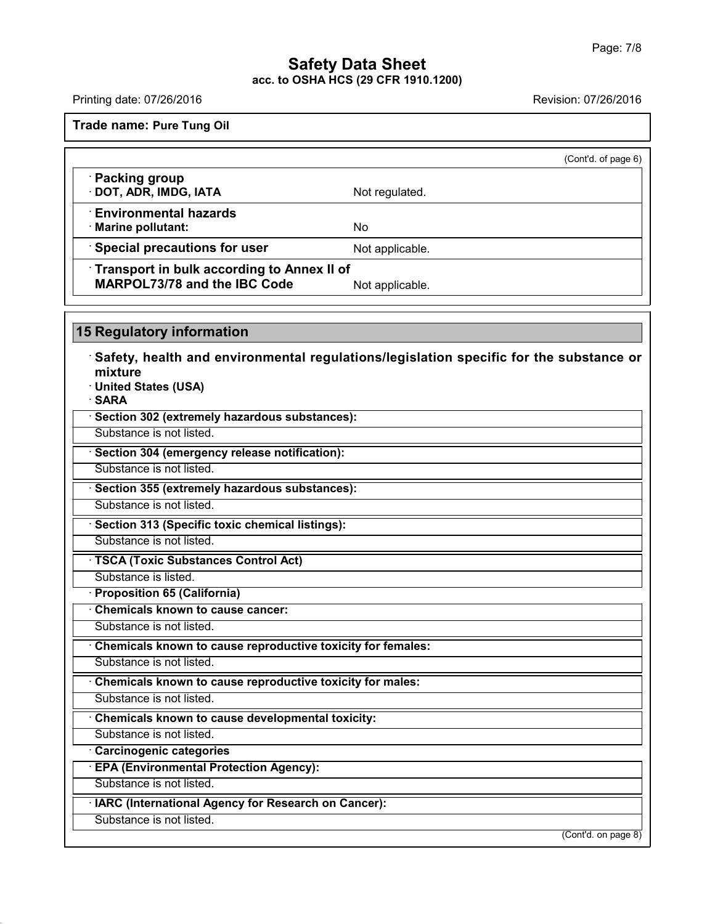Printing date: 07/26/2016 Revision: 07/26/2016

**Trade name: Pure Tung Oil**

|                                                                                   |                 | (Cont'd. of page 6) |
|-----------------------------------------------------------------------------------|-----------------|---------------------|
| · Packing group<br>· DOT, ADR, IMDG, IATA                                         | Not regulated.  |                     |
| <b>Environmental hazards</b><br>· Marine pollutant:                               | No              |                     |
| Special precautions for user                                                      | Not applicable. |                     |
| Transport in bulk according to Annex II of<br><b>MARPOL73/78 and the IBC Code</b> | Not applicable. |                     |

**15 Regulatory information**

43.0

· **Safety, health and environmental regulations/legislation specific for the substance or mixture** · **United States (USA)** · **SARA** · **Section 302 (extremely hazardous substances):** Substance is not listed. · **Section 304 (emergency release notification):** Substance is not listed. · **Section 355 (extremely hazardous substances):** Substance is not listed. · **Section 313 (Specific toxic chemical listings):** Substance is not listed. · **TSCA (Toxic Substances Control Act)** Substance is listed. · **Proposition 65 (California)** · **Chemicals known to cause cancer:** Substance is not listed. · **Chemicals known to cause reproductive toxicity for females:** Substance is not listed. · **Chemicals known to cause reproductive toxicity for males:** Substance is not listed. · **Chemicals known to cause developmental toxicity:** Substance is not listed. · **Carcinogenic categories** · **EPA (Environmental Protection Agency):** Substance is not listed. · **IARC (International Agency for Research on Cancer):** Substance is not listed. (Cont'd. on page 8)